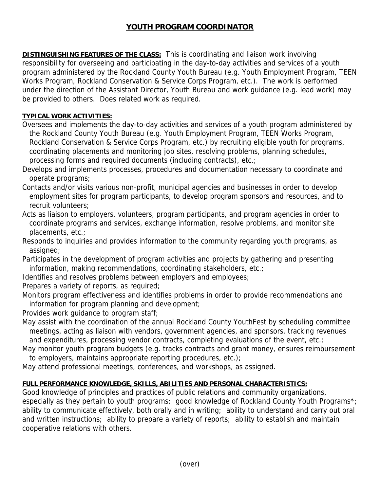## **YOUTH PROGRAM COORDINATOR**

**DISTINGUISHING FEATURES OF THE CLASS:** This is coordinating and liaison work involving responsibility for overseeing and participating in the day-to-day activities and services of a youth program administered by the Rockland County Youth Bureau (e.g. Youth Employment Program, TEEN Works Program, Rockland Conservation & Service Corps Program, etc.). The work is performed under the direction of the Assistant Director, Youth Bureau and work guidance (e.g. lead work) may be provided to others. Does related work as required.

## **TYPICAL WORK ACTIVITIES:**

Oversees and implements the day-to-day activities and services of a youth program administered by the Rockland County Youth Bureau (e.g. Youth Employment Program, TEEN Works Program, Rockland Conservation & Service Corps Program, etc.) by recruiting eligible youth for programs, coordinating placements and monitoring job sites, resolving problems, planning schedules, processing forms and required documents (including contracts), etc.;

Develops and implements processes, procedures and documentation necessary to coordinate and operate programs;

Contacts and/or visits various non-profit, municipal agencies and businesses in order to develop employment sites for program participants, to develop program sponsors and resources, and to recruit volunteers;

Acts as liaison to employers, volunteers, program participants, and program agencies in order to coordinate programs and services, exchange information, resolve problems, and monitor site placements, etc.;

Responds to inquiries and provides information to the community regarding youth programs, as assigned;

Participates in the development of program activities and projects by gathering and presenting information, making recommendations, coordinating stakeholders, etc.;

Identifies and resolves problems between employers and employees;

Prepares a variety of reports, as required;

Monitors program effectiveness and identifies problems in order to provide recommendations and information for program planning and development;

Provides work guidance to program staff;

May assist with the coordination of the annual Rockland County YouthFest by scheduling committee meetings, acting as liaison with vendors, government agencies, and sponsors, tracking revenues and expenditures, processing vendor contracts, completing evaluations of the event, etc.;

May monitor youth program budgets (e.g. tracks contracts and grant money, ensures reimbursement to employers, maintains appropriate reporting procedures, etc.);

May attend professional meetings, conferences, and workshops, as assigned.

## **FULL PERFORMANCE KNOWLEDGE, SKILLS, ABILITIES AND PERSONAL CHARACTERISTICS:**

Good knowledge of principles and practices of public relations and community organizations, especially as they pertain to youth programs; good knowledge of Rockland County Youth Programs\*; ability to communicate effectively, both orally and in writing; ability to understand and carry out oral and written instructions; ability to prepare a variety of reports; ability to establish and maintain cooperative relations with others.